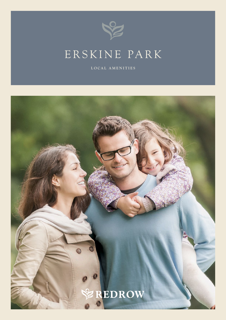

# Erskine Park

**LOCAL AMENITIES**

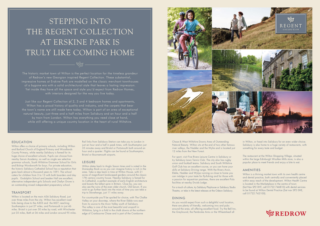The historic market town of Wilton is the perfect location for the timeless grandeur of Redrow's new Georgian inspired Regent Collection. These substantial, impressive homes at Erskine Park are modelled on the classic merchant townhouses of a bygone era with a solid architectural style that leaves a lasting impression. Yet inside they have all the space and style you'd expect from Redrow Homes, with interiors designed for the way you live today.

Just like our Regent Collection of 2, 3 and 4 bedroom homes and apartments, Wilton has a proud history of quality and industry, and the carpets that bear the town's name are still made here today. Wilton is part of an area of exceptional natural beauty, just three and a half miles from Salisbury and an hour and a half by train from London. Wilton has everything you need close at hand, while still offering a unique country location in the heart of rural Wiltshire.

# **EDUCATION**

Wilton is located on the main A36 Salisbury Road, just over three miles from the city. Wilton has excellent road links being close to the A303 and the M27, reaching Southampton in just 27 miles, and Portsmouth in just 46 miles. Bristol is just over 50 miles by road, with Winchester just 35 miles, Bath at 36 miles and London around 95 miles.

Wilton offers a choice of primary schools, including Wilton and Barford Church of England Primary and Woodlands County Primary, while nearby Salisbury is famed for its huge choice of excellent schools. Pupils can choose from nearby Sarum Academy, as well as single sex selective grammar schools, South Wiltshire Grammar School for Girls and Bishop Wordsworth for boys. For private education, the historic Salisbury Cathedral School has a reputation that goes back almost a thousand years to 1091. The school caters for children from 3 to 13 with both boarders and day pupils. Godolphin School and Leaden Hall are excellent, alternative independent girls Schools and Chafyn Grove is an outstanding mixed independent preparatory school.

# **TRANSPORT**

Chase & West Wiltshire Downs Area of Outstanding Natural Beauty. Wilton sits at the end of two other famous river valleys, the Nadder and the Wylie and is located just 12 miles from the New Forest.

For sport, visit Five Rivers Leisure Centre in Salisbury or try Salisbury Lawn Tennis Club. The city also has rugby union and football teams. Salisbury and South Wiltshire Golf Club has an excellent course, or you can hone your skills at Salisbury Driving range. With the Rivers Avon, Ebble, Nadder and Wylye running so close to home you can indulge in your taste for fly-fishing and for those with a passion for equestrian pastimes, there are excellent Polo facilities at nearby Druids Lodge.

Rail links from Salisbury Station can take you to London in just an hour and a half in peak times, with Southampton just 35 minutes away and Bristol or Portsmouth both around an hour and a quarter. Flights can be found at Southampton, Bristol or Bournemouth airports.

#### **LEISURE**

Wilton dates back to Anglo Saxon times and is noted in the Domesday Book so as you can imagine history is rich in the area. Take a step back in time at Wilton House, with 21 acres of magnificent landscaped gardens around the classic 17th century country house. Nearby Salisbury is famed for its Cathedral, a perfect example of early English architecture and boasts the tallest spire in Britain. Close by, you can also see the ruins of the even older church, Old Sarum. If you wish to go further back into the mists of time you can take a trip to Stonehenge, just 11 miles away.

For countryside you'll be spoiled for choice, with The Chalke Valley on your doorstep, where the River Ebble runs east from its source to the Avon Valley south of Salisbury. The valley is one of the most beautiful and unspoilt in Wiltshire, lying in a fold in the chalk downs at the northern edge of Cranbourne Chase and is part of the Cranborne



# STEPPING INTO THE REGENT COLLECTION AT Erskine Park IS TRULY LIKE COMING HOME

For a touch of culture, try Salisbury Playhouse or Salisbury Studio Theatre, or take in the latest releases at the Odeon Salisbury.

### **DINING**

As you would expect from such a delightful rural location, there are plenty of friendly, welcoming inns and pubs around the area, all offering excellent food. Try the Bell Inn, the Greyhound, the Pembroke Arms or the Wheatsheaf all

in Wilton, or head into Salisbury for an even wider choice. Salisbury is also home to a huge variety of restaurants, with something for every taste and budget.

The restaurant at the Wilton Shopping Village, situated within the large Edinburgh Woollen Mills store, is also a popular place to meet friends and enjoy a bite to eat.

# **AMENITIES**

Wilton is a thriving market town with its own health centre and dental practice, both centrally and conveniently placed within easy reach of the development. Wilton Health Centre is located in the Marketplace in the centre of town (Sat Nav SP2 0HT, call 01722 746810) with dental services to be found at Wilton Dental Practice (Sat nav SP2 0HE, call 01722 742100).